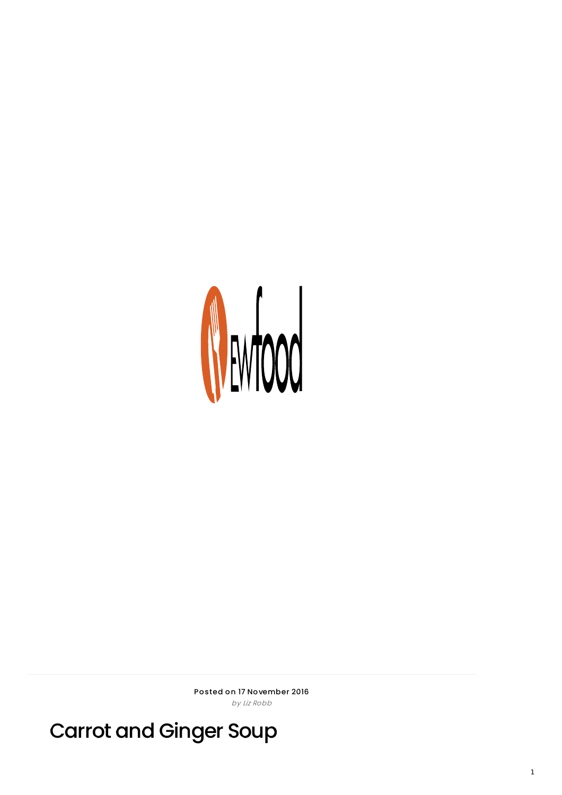

Posted on 17 November 2016 by Liz Robb

Carrot and Ginger Soup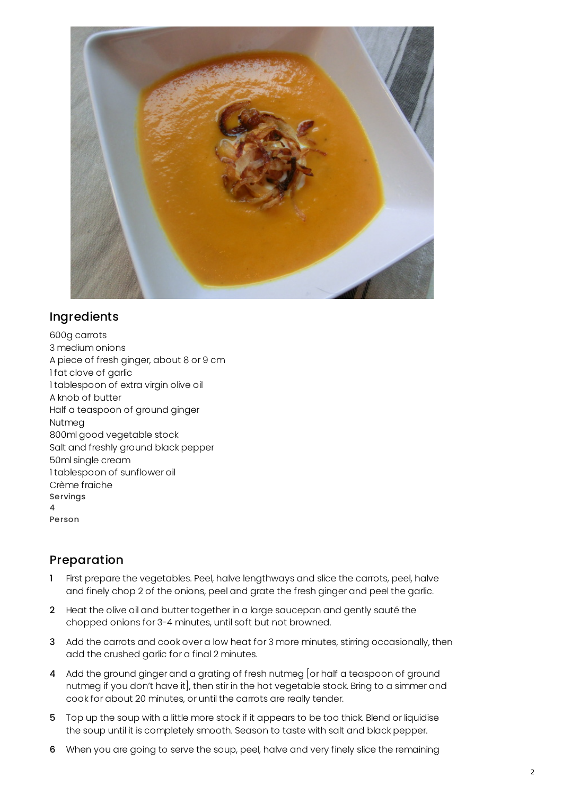

## Ingredients

600g carrots 3 medium onions A piece of fresh ginger, about 8 or 9 cm 1 fat clove of garlic 1 tablespoon of extra virgin olive oil A knob of butter Half a teaspoon of ground ginger Nutmeg 800ml good vegetable stock Salt and freshly ground black pepper 50ml single cream 1 tablespoon of sunflower oil Crème fraiche Servings 4 Person

## Preparation

- 1 First prepare the vegetables. Peel, halve lengthways and slice the carrots, peel, halve and finely chop 2 of the onions, peel and grate the fresh ginger and peel the garlic.
- 2 Heat the olive oil and butter together in a large saucepan and gently sauté the chopped onions for 3-4 minutes, until soft but not browned.
- 3 Add the carrots and cook over a low heat for 3 more minutes, stirring occasionally, then add the crushed garlic for a final 2 minutes.
- 4 Add the ground ginger and a grating of fresh nutmeg [or half a teaspoon of ground nutmeg if you don't have it], then stir in the hot vegetable stock. Bring to a simmer and cook for about 20 minutes, or until the carrots are really tender.
- 5 Top up the soup with a little more stock if it appears to be too thick. Blend or liquidise the soup until it is completely smooth. Season to taste with salt and black pepper.
- 6 When you are going to serve the soup, peel, halve and very finely slice the remaining